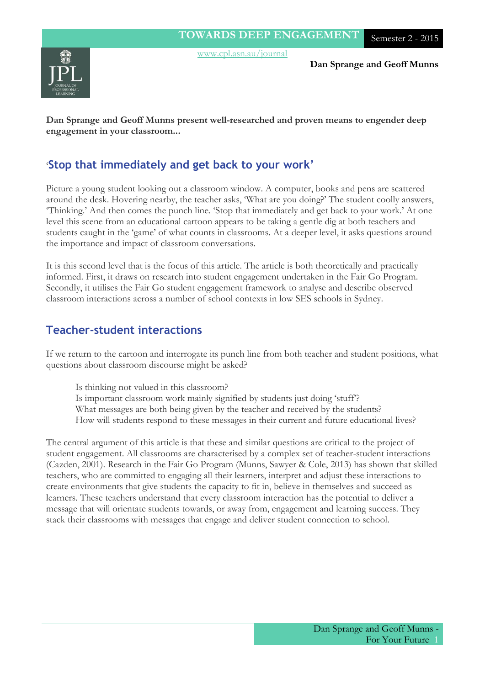



**Dan Sprange and Geoff Munns**

**Dan Sprange and Geoff Munns present well-researched and proven means to engender deep engagement in your classroom...**

## '**Stop that immediately and get back to your work'**

Picture a young student looking out a classroom window. A computer, books and pens are scattered around the desk. Hovering nearby, the teacher asks, 'What are you doing?' The student coolly answers, 'Thinking.' And then comes the punch line. 'Stop that immediately and get back to your work.' At one level this scene from an educational cartoon appears to be taking a gentle dig at both teachers and students caught in the 'game' of what counts in classrooms. At a deeper level, it asks questions around the importance and impact of classroom conversations.

It is this second level that is the focus of this article. The article is both theoretically and practically informed. First, it draws on research into student engagement undertaken in the Fair Go Program. Secondly, it utilises the Fair Go student engagement framework to analyse and describe observed classroom interactions across a number of school contexts in low SES schools in Sydney.

## **Teacher-student interactions**

If we return to the cartoon and interrogate its punch line from both teacher and student positions, what questions about classroom discourse might be asked?

Is thinking not valued in this classroom? Is important classroom work mainly signified by students just doing 'stuff'? What messages are both being given by the teacher and received by the students? How will students respond to these messages in their current and future educational lives?

The central argument of this article is that these and similar questions are critical to the project of student engagement. All classrooms are characterised by a complex set of teacher-student interactions (Cazden, 2001). Research in the Fair Go Program (Munns, Sawyer & Cole, 2013) has shown that skilled teachers, who are committed to engaging all their learners, interpret and adjust these interactions to create environments that give students the capacity to fit in, believe in themselves and succeed as learners. These teachers understand that every classroom interaction has the potential to deliver a message that will orientate students towards, or away from, engagement and learning success. They stack their classrooms with messages that engage and deliver student connection to school.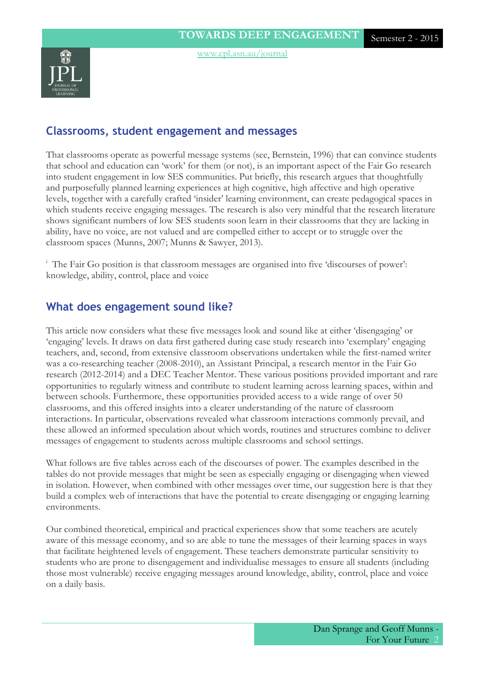### **Classrooms, student engagement and messages**

That classrooms operate as powerful message systems (see, Bernstein, 1996) that can convince students that school and education can 'work' for them (or not), is an important aspect of the Fair Go research into student engagement in low SES communities. Put briefly, this research argues that thoughtfully and purposefully planned learning experiences at high cognitive, high affective and high operative levels, together with a carefully crafted 'insider' learning environment, can create pedagogical spaces in which students receive engaging messages. The research is also very mindful that the research literature shows significant numbers of low SES students soon learn in their classrooms that they are lacking in ability, have no voice, are not valued and are compelled either to accept or to struggle over the classroom spaces (Munns, 2007; Munns & Sawyer, 2013).

<sup>i</sup> The Fair Go position is that classroom messages are organised into five 'discourses of power': knowledge, ability, control, place and voice

### **What does engagement sound like?**

This article now considers what these five messages look and sound like at either 'disengaging' or 'engaging' levels. It draws on data first gathered during case study research into 'exemplary' engaging teachers, and, second, from extensive classroom observations undertaken while the first-named writer was a co-researching teacher (2008-2010), an Assistant Principal, a research mentor in the Fair Go research (2012-2014) and a DEC Teacher Mentor. These various positions provided important and rare opportunities to regularly witness and contribute to student learning across learning spaces, within and between schools. Furthermore, these opportunities provided access to a wide range of over 50 classrooms, and this offered insights into a clearer understanding of the nature of classroom interactions. In particular, observations revealed what classroom interactions commonly prevail, and these allowed an informed speculation about which words, routines and structures combine to deliver messages of engagement to students across multiple classrooms and school settings.

What follows are five tables across each of the discourses of power. The examples described in the tables do not provide messages that might be seen as especially engaging or disengaging when viewed in isolation. However, when combined with other messages over time, our suggestion here is that they build a complex web of interactions that have the potential to create disengaging or engaging learning environments.

Our combined theoretical, empirical and practical experiences show that some teachers are acutely aware of this message economy, and so are able to tune the messages of their learning spaces in ways that facilitate heightened levels of engagement. These teachers demonstrate particular sensitivity to students who are prone to disengagement and individualise messages to ensure all students (including those most vulnerable) receive engaging messages around knowledge, ability, control, place and voice on a daily basis.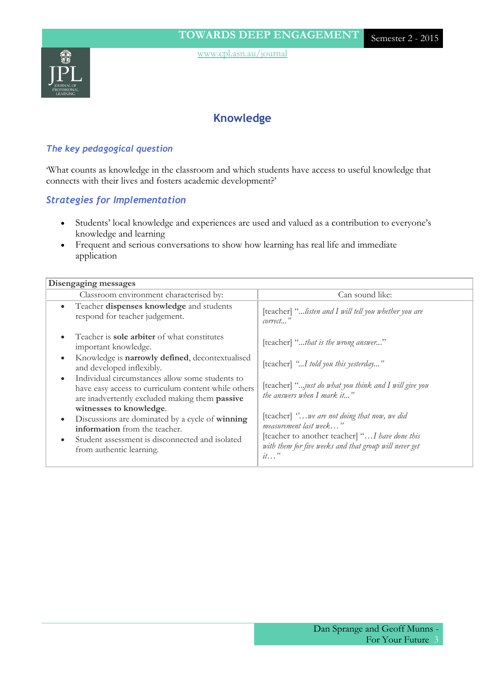

# **Knowledge**

#### *The key pedagogical question*

'What counts as knowledge in the classroom and which students have access to useful knowledge that connects with their lives and fosters academic development?'

#### *Strategies for Implementation*

- Students' local knowledge and experiences are used and valued as a contribution to everyone's knowledge and learning
- Frequent and serious conversations to show how learning has real life and immediate application

| Disengaging messages                                                                                                                                                                                                        |                                                                                                                                                                                               |
|-----------------------------------------------------------------------------------------------------------------------------------------------------------------------------------------------------------------------------|-----------------------------------------------------------------------------------------------------------------------------------------------------------------------------------------------|
| Classroom environment characterised by:                                                                                                                                                                                     | Can sound like:                                                                                                                                                                               |
| Teacher dispenses knowledge and students<br>$\bullet$<br>respond for teacher judgement.                                                                                                                                     | [teacher] "listen and I will tell you whether you are<br>correct"                                                                                                                             |
| Teacher is <b>sole arbiter</b> of what constitutes<br>important knowledge.                                                                                                                                                  | [teacher] "that is the wrong answer"                                                                                                                                                          |
| Knowledge is narrowly defined, decontextualised<br>$\bullet$<br>and developed inflexibly.                                                                                                                                   | [teacher] "I told you this yesterday"                                                                                                                                                         |
| Individual circumstances allow some students to<br>$\bullet$<br>have easy access to curriculum content while others<br>are inadvertently excluded making them passive                                                       | [teacher] "just do what you think and I will give you<br>the answers when I mark it"                                                                                                          |
| witnesses to knowledge.<br>Discussions are dominated by a cycle of winning<br>$\bullet$<br><b>information</b> from the teacher.<br>Student assessment is disconnected and isolated<br>$\bullet$<br>from authentic learning. | [teacher] "we are not doing that now, we did<br>measurement last week"<br>[teacher to another teacher] " I have done this<br>with them for five weeks and that group will never get<br>$it$ " |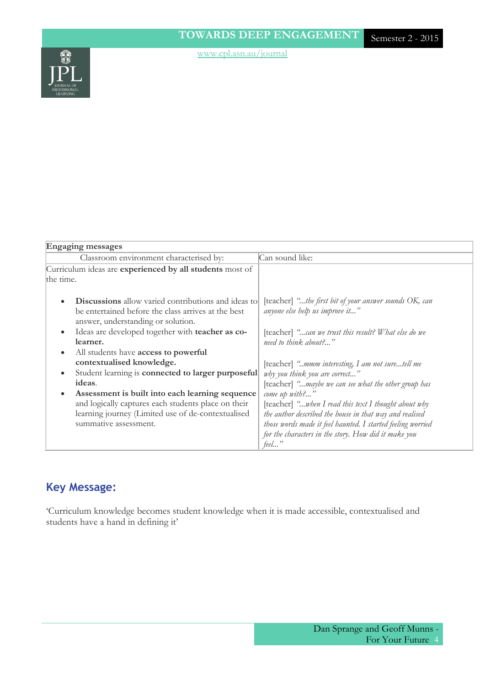

| <b>Engaging messages</b>                                   |                                                              |
|------------------------------------------------------------|--------------------------------------------------------------|
| Classroom environment characterised by:                    | Can sound like:                                              |
| Curriculum ideas are experienced by all students most of   |                                                              |
| the time.                                                  |                                                              |
|                                                            |                                                              |
| <b>Discussions</b> allow varied contributions and ideas to | [teacher] "the first bit of your answer sounds OK, can       |
| be entertained before the class arrives at the best        | anyone else help us improve it"                              |
| answer, understanding or solution.                         |                                                              |
| Ideas are developed together with teacher as co-           | [teacher] "can we trust this result? What else do we         |
| learner.                                                   | need to think about?"                                        |
| All students have access to powerful<br>$\bullet$          |                                                              |
| contextualised knowledge.                                  | [teacher] "mmm interesting, I am not suretell me             |
| Student learning is connected to larger purposeful         | why you think you are correct"                               |
| ideas.                                                     | [teacher] "maybe we can see what the other group has         |
| Assessment is built into each learning sequence            | come up with?'                                               |
| and logically captures each students place on their        | [teacher] " <i>when I read this text I thought about why</i> |
| learning journey (Limited use of de-contextualised         | the author described the house in that way and realised      |
| summative assessment.                                      | those words made it feel haunted. I started feeling worried  |
|                                                            | for the characters in the story. How did it make you         |
|                                                            | feel                                                         |

# **Key Message:**

'Curriculum knowledge becomes student knowledge when it is made accessible, contextualised and students have a hand in defining it'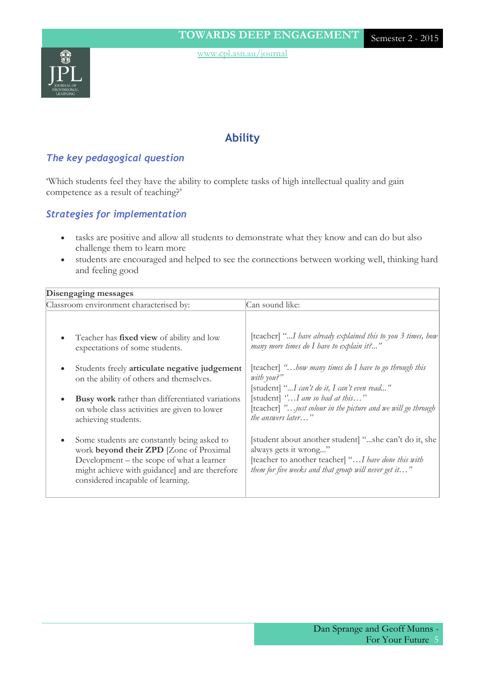

### **Ability**

#### *The key pedagogical question*

'Which students feel they have the ability to complete tasks of high intellectual quality and gain competence as a result of teaching?'

#### *Strategies for implementation*

- tasks are positive and allow all students to demonstrate what they know and can do but also challenge them to learn more
- students are encouraged and helped to see the connections between working well, thinking hard and feeling good

| Disengaging messages                                                                                                                                                                                                                                                                                                                                                                         |                                                                                                                                                                                                                                                                                                                                                                                                                             |
|----------------------------------------------------------------------------------------------------------------------------------------------------------------------------------------------------------------------------------------------------------------------------------------------------------------------------------------------------------------------------------------------|-----------------------------------------------------------------------------------------------------------------------------------------------------------------------------------------------------------------------------------------------------------------------------------------------------------------------------------------------------------------------------------------------------------------------------|
| Classroom environment characterised by:                                                                                                                                                                                                                                                                                                                                                      | Can sound like:                                                                                                                                                                                                                                                                                                                                                                                                             |
| Teacher has <b>fixed view</b> of ability and low<br>$\bullet$<br>expectations of some students.<br>Students freely articulate negative judgement<br>٠<br>on the ability of others and themselves.<br>Busy work rather than differentiated variations<br>$\bullet$<br>on whole class activities are given to lower<br>achieving students.<br>Some students are constantly being asked to<br>٠ | [teacher] "I have already explained this to you 3 times, how<br>many more times do I have to explain it?"<br>[teacher] "bow many times do I have to go through this<br>with you?"<br>[student] "I can't do it, I can't even read"<br>[student] "I am so bad at this"<br>[teacher] " <i>just colour in the picture and we will go through</i><br>the answers later"<br>[student about another student] "she can't do it, she |
| work beyond their ZPD [Zone of Proximal<br>Development – the scope of what a learner<br>might achieve with guidance] and are therefore<br>considered incapable of learning.                                                                                                                                                                                                                  | always gets it wrong"<br>[teacher to another teacher] " I have done this with<br>them for five weeks and that group will never get it"                                                                                                                                                                                                                                                                                      |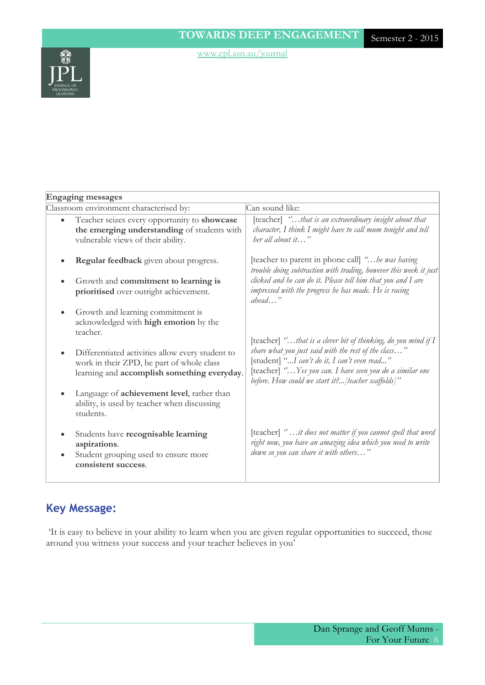

#### **Engaging messages**

| Classroom environment characterised by:                                                                                                                   | Can sound like:                                                                                                                                                                                                                                                                          |
|-----------------------------------------------------------------------------------------------------------------------------------------------------------|------------------------------------------------------------------------------------------------------------------------------------------------------------------------------------------------------------------------------------------------------------------------------------------|
| Teacher seizes every opportunity to showcase<br>$\bullet$<br>the emerging understanding of students with<br>vulnerable views of their ability.            | [teacher] "that is an extraordinary insight about that<br>character, I think I might have to call mum tonight and tell<br>her all about it"                                                                                                                                              |
| Regular feedback given about progress.<br>Growth and commitment to learning is                                                                            | [teacher to parent in phone call] "be was having<br>trouble doing subtraction with trading, however this week it just<br>clicked and he can do it. Please tell him that you and I are                                                                                                    |
| prioritised over outright achievement.                                                                                                                    | impressed with the progress he has made. He is racing<br>$abead$ "                                                                                                                                                                                                                       |
| Growth and learning commitment is<br>acknowledged with high emotion by the<br>teacher.                                                                    |                                                                                                                                                                                                                                                                                          |
| Differentiated activities allow every student to<br>$\bullet$<br>work in their ZPD, be part of whole class<br>learning and accomplish something everyday. | [teacher] "that is a clever bit of thinking, do you mind if I<br>share what you just said with the rest of the class"<br>[student] "I can't do it, I can't even read"<br>[teacher] "Yes you can. I have seen you do a similar one<br>before. How could we start it? [teacher scaffolds]" |
| Language of achievement level, rather than<br>ability, is used by teacher when discussing<br>students.                                                    |                                                                                                                                                                                                                                                                                          |
| Students have recognisable learning<br>٠<br>aspirations.<br>Student grouping used to ensure more<br>$\bullet$<br>consistent success.                      | [teacher] $\degree$ it does not matter if you cannot spell that word<br>right now, you have an amazing idea which you need to write<br>down so you can share it with others"                                                                                                             |

# **Key Message:**

'It is easy to believe in your ability to learn when you are given regular opportunities to succeed, those around you witness your success and your teacher believes in you'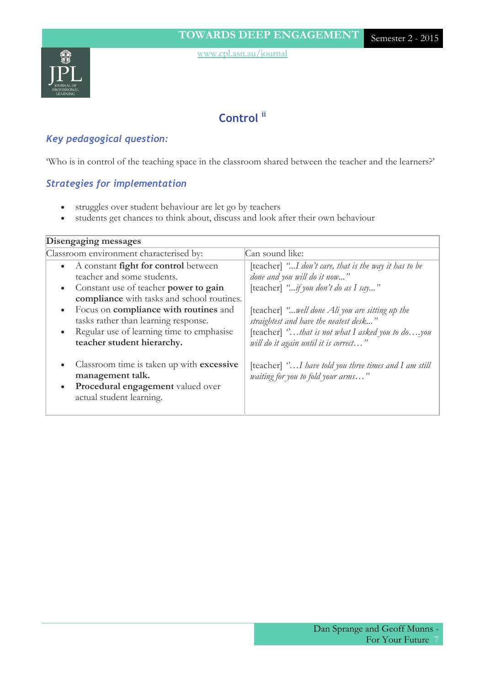

# **Control ii**

### *Key pedagogical question:*

'Who is in control of the teaching space in the classroom shared between the teacher and the learners?'

### *Strategies for implementation*

- struggles over student behaviour are let go by teachers
- students get chances to think about, discuss and look after their own behaviour

| Disengaging messages                                     |                                                                |
|----------------------------------------------------------|----------------------------------------------------------------|
| Classroom environment characterised by:                  | Can sound like:                                                |
| A constant <b>fight for control</b> between<br>$\bullet$ | [teacher] "I don't care, that is the way it has to be          |
| teacher and some students.                               | done and you will do it now"                                   |
| Constant use of teacher power to gain<br>$\bullet$       | [teacher] "if you don't do as I say"                           |
| compliance with tasks and school routines.               |                                                                |
| Focus on compliance with routines and<br>$\bullet$       | [teacher] "well done Ali you are sitting up the                |
| tasks rather than learning response.                     | straightest and have the neatest desk"                         |
| Regular use of learning time to emphasise<br>$\bullet$   | [teacher] $\degree$ that is not what I asked you to doyou      |
| teacher student hierarchy.                               | will do it again until it is correct"                          |
|                                                          |                                                                |
| Classroom time is taken up with excessive<br>$\bullet$   | [teacher] $\degree$ I have told you three times and I am still |
| management talk.                                         | <i>waiting for you to fold your arms</i> "                     |
| Procedural engagement valued over<br>$\bullet$           |                                                                |
| actual student learning.                                 |                                                                |
|                                                          |                                                                |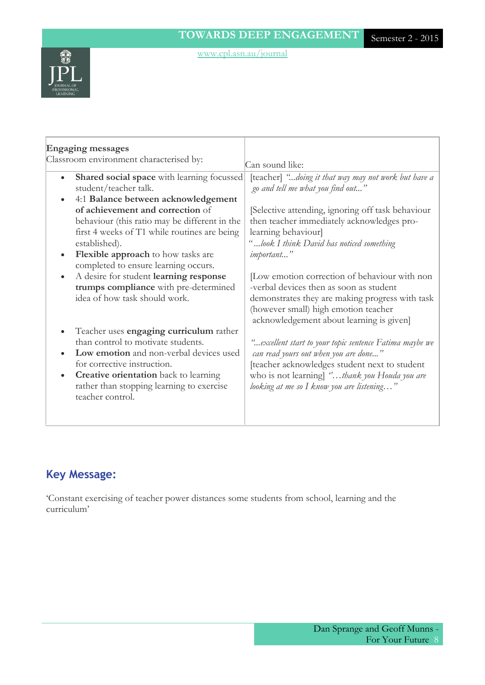

| <b>Engaging messages</b>                                                                                                                                                                                                                                                                                                                                                                                                                                                                                               |                                                                                                                                                                                                                                                                                                                                                                                                                                                                                         |
|------------------------------------------------------------------------------------------------------------------------------------------------------------------------------------------------------------------------------------------------------------------------------------------------------------------------------------------------------------------------------------------------------------------------------------------------------------------------------------------------------------------------|-----------------------------------------------------------------------------------------------------------------------------------------------------------------------------------------------------------------------------------------------------------------------------------------------------------------------------------------------------------------------------------------------------------------------------------------------------------------------------------------|
| Classroom environment characterised by:                                                                                                                                                                                                                                                                                                                                                                                                                                                                                |                                                                                                                                                                                                                                                                                                                                                                                                                                                                                         |
| Shared social space with learning focussed<br>$\bullet$<br>student/teacher talk.<br>4:1 Balance between acknowledgement<br>$\bullet$<br>of achievement and correction of<br>behaviour (this ratio may be different in the<br>first 4 weeks of T1 while routines are being<br>established).<br>Flexible approach to how tasks are<br>$\bullet$<br>completed to ensure learning occurs.<br>A desire for student learning response<br>$\bullet$<br>trumps compliance with pre-determined<br>idea of how task should work. | Can sound like:<br>[teacher] "doing it that way may not work but have a<br>go and tell me what you find out"<br>[Selective attending, ignoring off task behaviour<br>then teacher immediately acknowledges pro-<br>learning behaviour<br>"look I think David has noticed something<br>important"<br>[Low emotion correction of behaviour with non<br>-verbal devices then as soon as student<br>demonstrates they are making progress with task<br>(however small) high emotion teacher |
| Teacher uses engaging curriculum rather<br>$\bullet$<br>than control to motivate students.<br>Low emotion and non-verbal devices used<br>for corrective instruction.<br><b>Creative orientation</b> back to learning<br>$\bullet$<br>rather than stopping learning to exercise<br>teacher control.                                                                                                                                                                                                                     | acknowledgement about learning is given]<br>"excellent start to your topic sentence Fatima maybe we<br>can read yours out when you are done"<br>[teacher acknowledges student next to student<br>who is not learning] "thank you Houda you are<br>looking at me so I know you are listening"                                                                                                                                                                                            |

# **Key Message:**

'Constant exercising of teacher power distances some students from school, learning and the curriculum'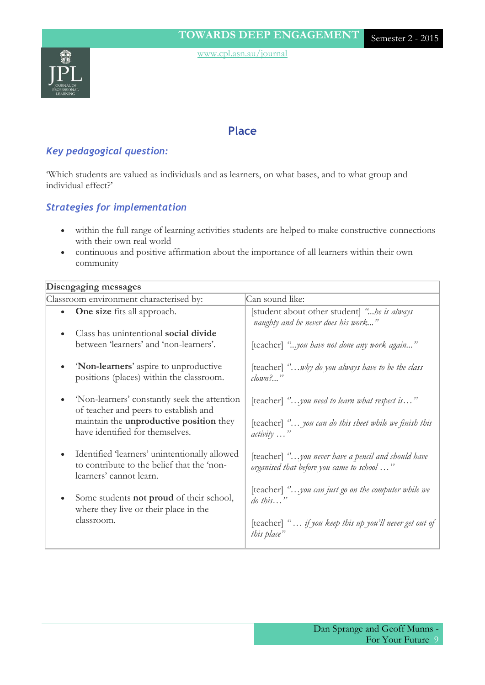

### **Place**

### *Key pedagogical question:*

'Which students are valued as individuals and as learners, on what bases, and to what group and individual effect?'

### *Strategies for implementation*

- within the full range of learning activities students are helped to make constructive connections with their own real world
- continuous and positive affirmation about the importance of all learners within their own community

#### **Disengaging messages**

| Classroom environment characterised by:                                                                                                                                    | Can sound like:                                                                                                                        |
|----------------------------------------------------------------------------------------------------------------------------------------------------------------------------|----------------------------------------------------------------------------------------------------------------------------------------|
| <b>One size</b> fits all approach.<br>$\bullet$                                                                                                                            | [student about other student] "be is always<br>naughty and he never does his work"                                                     |
| Class has unintentional social divide<br>between 'learners' and 'non-learners'.                                                                                            | [teacher] "you have not done any work again"                                                                                           |
| 'Non-learners' aspire to unproductive<br>positions (places) within the classroom.                                                                                          | [teacher] $\degree$ why do you always have to be the class<br>$clown?$ "                                                               |
| 'Non-learners' constantly seek the attention<br>of teacher and peers to establish and<br>maintain the <b>unproductive position</b> they<br>have identified for themselves. | [teacher] $\degree$ you need to learn what respect is"<br>[teacher] " you can do this sheet while we finish this<br>$activity \dots$ " |
| Identified 'learners' unintentionally allowed<br>to contribute to the belief that the 'non-<br>learners' cannot learn.                                                     | [teacher] "you never have a pencil and should have<br>organised that before you came to school "                                       |
| Some students <b>not proud</b> of their school,<br>where they live or their place in the                                                                                   | [teacher] $\degree \dots$ you can just go on the computer while we<br>$\omega$ this"                                                   |
| classroom.                                                                                                                                                                 | [teacher] " if you keep this up you'll never get out of<br>this place"                                                                 |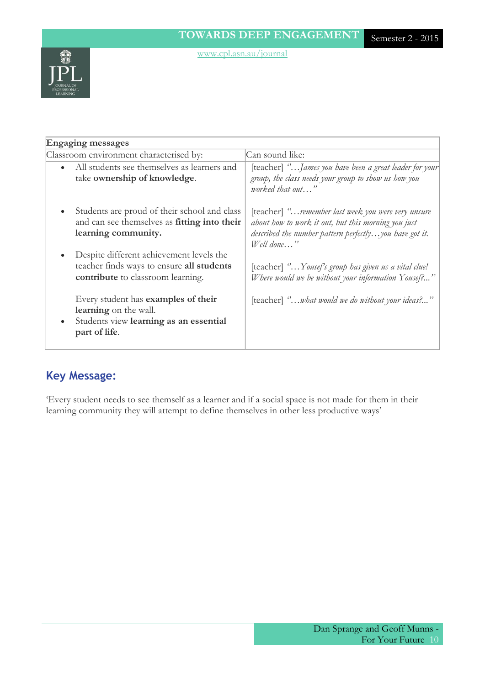

| <b>Engaging messages</b>                                                                                                                |                                                                                                                                                                                            |
|-----------------------------------------------------------------------------------------------------------------------------------------|--------------------------------------------------------------------------------------------------------------------------------------------------------------------------------------------|
| Classroom environment characterised by:                                                                                                 | Can sound like:                                                                                                                                                                            |
| All students see themselves as learners and<br>$\bullet$<br>take ownership of knowledge.                                                | [teacher] " <i>James you have been a great leader for your</i> ]<br>group, the class needs your group to show us how you<br>worked that out"                                               |
| Students are proud of their school and class<br>$\bullet$<br>and can see themselves as fitting into their<br>learning community.        | [teacher] " <i>remember last week you were very unsure</i><br>about how to work it out, but this morning you just<br>described the number pattern perfectly you have got it.<br>Well done" |
| Despite different achievement levels the<br>$\bullet$<br>teacher finds ways to ensure all students<br>contribute to classroom learning. | [teacher] "Yousef's group has given us a vital clue!<br>Where would we be without your information Yousef?"                                                                                |
| Every student has examples of their<br>learning on the wall.<br>Students view learning as an essential<br>$\bullet$<br>part of life.    | [teacher] "what would we do without your ideas?"                                                                                                                                           |

### **Key Message:**

'Every student needs to see themself as a learner and if a social space is not made for them in their learning community they will attempt to define themselves in other less productive ways'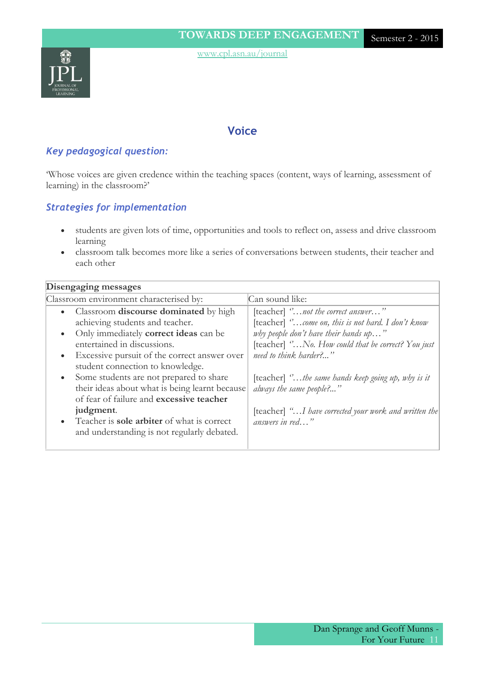

### **Voice**

### *Key pedagogical question:*

'Whose voices are given credence within the teaching spaces (content, ways of learning, assessment of learning) in the classroom?'

### *Strategies for implementation*

- students are given lots of time, opportunities and tools to reflect on, assess and drive classroom learning
- classroom talk becomes more like a series of conversations between students, their teacher and each other

#### **Disengaging messages**

| Classroom environment characterised by:             | Can sound like:                                             |
|-----------------------------------------------------|-------------------------------------------------------------|
| • Classroom discourse dominated by high             | [teacher] " <i>not the correct answer</i> "                 |
| achieving students and teacher.                     | [teacher] "come on, this is not hard. I don't know          |
| Only immediately <b>correct ideas</b> can be        | why people don't have their hands up"                       |
| entertained in discussions.                         | [teacher] "No. How could that be correct? You just          |
| Excessive pursuit of the correct answer over        | need to think harder?"                                      |
| student connection to knowledge.                    |                                                             |
| • Some students are not prepared to share           | [teacher] $\degree$ the same hands keep going up, why is it |
| their ideas about what is being learnt because      | always the same people?"                                    |
| of fear of failure and excessive teacher            |                                                             |
| judgment.                                           | [teacher] "I have corrected your work and written the]      |
| • Teacher is <b>sole arbiter</b> of what is correct | answers in red"                                             |
| and understanding is not regularly debated.         |                                                             |
|                                                     |                                                             |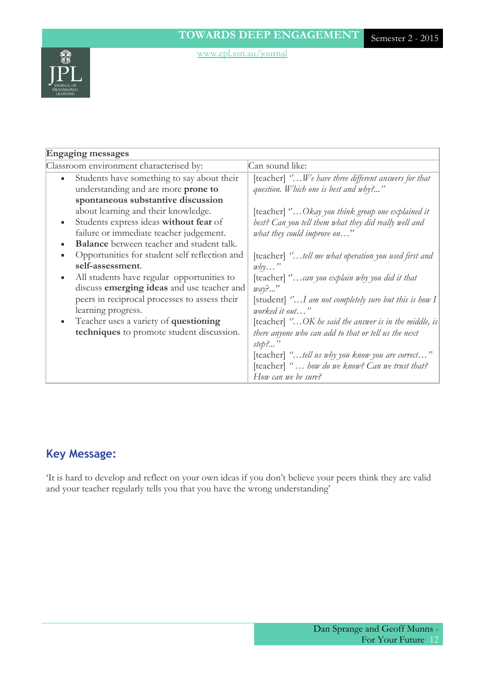

# **Key Message:**

'It is hard to develop and reflect on your own ideas if you don't believe your peers think they are valid and your teacher regularly tells you that you have the wrong understanding'